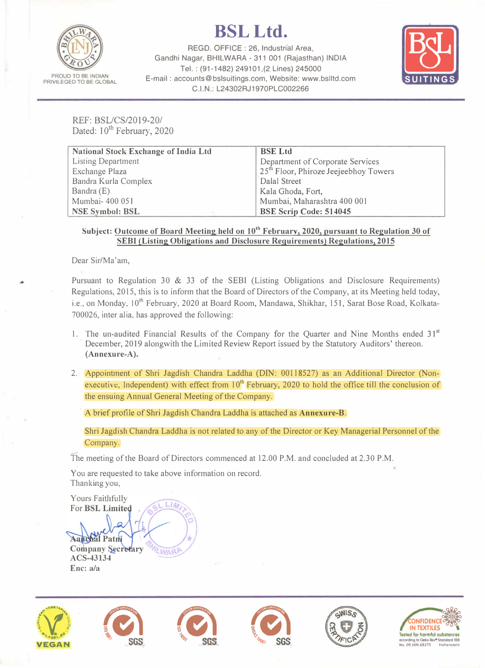

## **BSLLtd.**

REGO. OFFICE : 26, Industrial Area, Gandhi Nagar, BHILWARA - 311 001 (Rajasthan) INDIA REGD. OFFICE : 26, Industrial Area,<br>Nagar, BHILWARA - 311 001 (Rajasthan) INDIA<br>Tel. : (91-1482) 249101,(2 Lines) 245000<br>counts@bslsuitings.com, Website: www.bslltd.com E-mail: accounts@bslsuitings.com, Website: www.bslltd.com C.I.N.: L24302RJ1970PLC002266



REF: BSL/CS/2019-20/ Dated: 10<sup>th</sup> February, 2020

| <b>National Stock Exchange of India Ltd</b> | <b>BSE</b> Ltd                                    |
|---------------------------------------------|---------------------------------------------------|
| <b>Listing Department</b>                   | Department of Corporate Services                  |
| Exchange Plaza                              | 25 <sup>th</sup> Floor, Phiroze Jeejeebhoy Towers |
| Bandra Kurla Complex                        | Dalal Street                                      |
| Bandra (E)                                  | Kala Ghoda, Fort,                                 |
| Mumbai- 400 051                             | Mumbai, Maharashtra 400 001                       |
| <b>NSE Symbol: BSL</b>                      | <b>BSE Scrip Code: 514045</b>                     |

## **Subject: Outcome of Board Meeting held on 10th February, 2020, pursuant to Regulation 30 of SEBI (Listing Obligations and Disclosure Requirements) Regulations, 2015**

Dear Sir/Ma'am,

Pursuant to Regulation 30 & 33 of the SEBI (Listing Obligations and Disclosure Requirements) Regulations, 2015, this is to inform that the Board of Directors of the Company, at its Meeting held today, i.e., on Monday, 10<sup>th</sup> February, 2020 at Board Room, Mandawa, Shikhar, 151, Sarat Bose Road, Kolkata-700026, inter alia, has approved the following:

- 1. The un-audited Financial Results of the Company for the Quarter and Nine Months ended 31**st**  December, 2019 alongwith the Limited Review Report issued by the Statutory Auditors' thereon. **(Annexure-A).**
- 2. Appointment of Shri Jagdish Chandra Laddha (DIN: 00118527) as an Additional Director (Nonexecutive, Independent) with effect from  $10<sup>th</sup>$  February, 2020 to hold the office till the conclusion of the ensuing Annual General Meeting of the Company.

A brief profile of Shri Jagdish Chandra Laddha is attached as **Annexure-B.**

Shri Jagdish Chandra Laddha is not related to any of the Director or Key Managerial Personnel of the Company.

The meeting of the Board of Directors commenced at 12.00 P.M. and concluded at 2.30 P.M.

You are requested to take above information on record. Thanking you,

Yours Faithfully For BSL Limited

Aanchal Patni **Company Secretary ACS-43134 Enc: a/a**